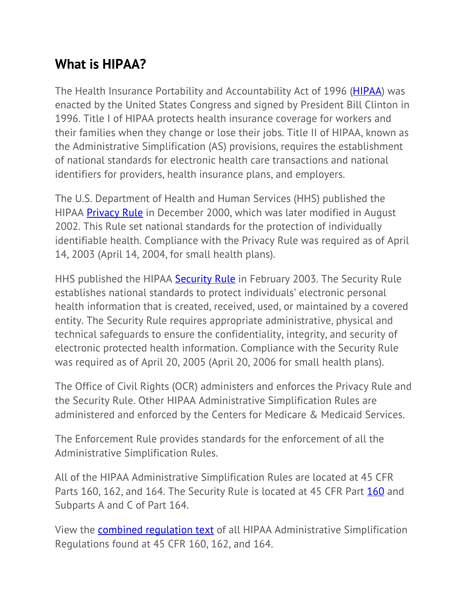## **What is HIPAA?**

The Health Insurance Portability and Accountability Act of 1996 (**HIPAA**) was enacted by the United States Congress and signed by President Bill Clinton in 1996. Title I of HIPAA protects health insurance coverage for workers and their families when they change or lose their jobs. Title II of HIPAA, known as the Administrative Simplification (AS) provisions, requires the establishment of national standards for electronic health care transactions and national identifiers for providers, health insurance plans, and employers.

The U.S. Department of Health and Human Services (HHS) published the HIPAA **Privacy Rule** in December 2000, which was later modified in August 2002. This Rule set national standards for the protection of individually identifiable health. Compliance with the Privacy Rule was required as of April 14, 2003 (April 14, 2004, for small health plans).

HHS published the HIPAA Security Rule in February 2003. The Security Rule establishes national standards to protect individuals' electronic personal health information that is created, received, used, or maintained by a covered entity. The Security Rule requires appropriate administrative, physical and technical safeguards to ensure the confidentiality, integrity, and security of electronic protected health information. Compliance with the Security Rule was required as of April 20, 2005 (April 20, 2006 for small health plans).

The Office of Civil Rights (OCR) administers and enforces the Privacy Rule and the Security Rule. Other HIPAA Administrative Simplification Rules are administered and enforced by the Centers for Medicare & Medicaid Services.

The Enforcement Rule provides standards for the enforcement of all the Administrative Simplification Rules.

All of the HIPAA Administrative Simplification Rules are located at 45 CFR Parts 160, 162, and 164. The Security Rule is located at 45 CFR Part 160 and Subparts A and C of Part 164.

View the combined regulation text of all HIPAA Administrative Simplification Regulations found at 45 CFR 160, 162, and 164.